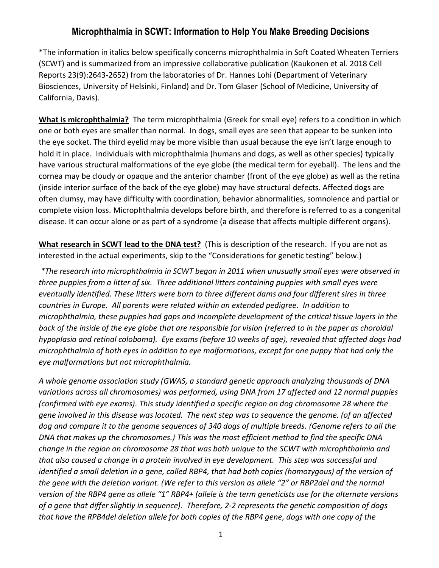## **Microphthalmia in SCWT: Information to Help You Make Breeding Decisions**

\*The information in italics below specifically concerns microphthalmia in Soft Coated Wheaten Terriers (SCWT) and is summarized from an impressive collaborative publication (Kaukonen et al. 2018 Cell Reports 23(9):2643-2652) from the laboratories of Dr. Hannes Lohi (Department of Veterinary Biosciences, University of Helsinki, Finland) and Dr. Tom Glaser (School of Medicine, University of California, Davis).

**What is microphthalmia?** The term microphthalmia (Greek for small eye) refers to a condition in which one or both eyes are smaller than normal. In dogs, small eyes are seen that appear to be sunken into the eye socket. The third eyelid may be more visible than usual because the eye isn't large enough to hold it in place. Individuals with microphthalmia (humans and dogs, as well as other species) typically have various structural malformations of the eye globe (the medical term for eyeball). The lens and the cornea may be cloudy or opaque and the anterior chamber (front of the eye globe) as well as the retina (inside interior surface of the back of the eye globe) may have structural defects. Affected dogs are often clumsy, may have difficulty with coordination, behavior abnormalities, somnolence and partial or complete vision loss. Microphthalmia develops before birth, and therefore is referred to as a congenital disease. It can occur alone or as part of a syndrome (a disease that affects multiple different organs).

**What research in SCWT lead to the DNA test?** (This is description of the research. If you are not as interested in the actual experiments, skip to the "Considerations for genetic testing" below.)

*\*The research into microphthalmia in SCWT began in 2011 when unusually small eyes were observed in three puppies from a litter of six. Three additional litters containing puppies with small eyes were eventually identified. These litters were born to three different dams and four different sires in three countries in Europe. All parents were related within an extended pedigree. In addition to microphthalmia, these puppies had gaps and incomplete development of the critical tissue layers in the back of the inside of the eye globe that are responsible for vision (referred to in the paper as choroidal hypoplasia and retinal coloboma). Eye exams (before 10 weeks of age), revealed that affected dogs had microphthalmia of both eyes in addition to eye malformations, except for one puppy that had only the eye malformations but not microphthalmia.*

*A whole genome association study (GWAS, a standard genetic approach analyzing thousands of DNA variations across all chromosomes) was performed, using DNA from 17 affected and 12 normal puppies (confirmed with eye exams). This study identified a specific region on dog chromosome 28 where the gene involved in this disease was located. The next step was to sequence the genome. (of an affected dog and compare it to the genome sequences of 340 dogs of multiple breeds. (Genome refers to all the DNA that makes up the chromosomes.) This was the most efficient method to find the specific DNA change in the region on chromosome 28 that was both unique to the SCWT with microphthalmia and that also caused a change in a protein involved in eye development. This step was successful and identified a small deletion in a gene, called RBP4, that had both copies (homozygous) of the version of the gene with the deletion variant. (We refer to this version as allele "2" or RBP2del and the normal version of the RBP4 gene as allele "1" RBP4+ (allele is the term geneticists use for the alternate versions of a gene that differ slightly in sequence). Therefore, 2-2 represents the genetic composition of dogs that have the RPB4del deletion allele for both copies of the RBP4 gene, dogs with one copy of the*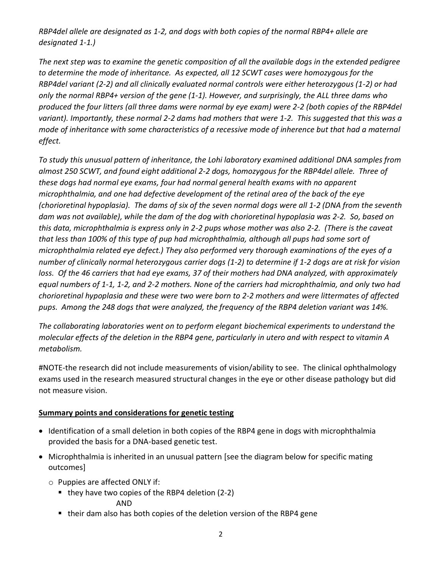*RBP4del allele are designated as 1-2, and dogs with both copies of the normal RBP4+ allele are designated 1-1.)* 

*The next step was to examine the genetic composition of all the available dogs in the extended pedigree to determine the mode of inheritance. As expected, all 12 SCWT cases were homozygous for the RBP4del variant (2-2) and all clinically evaluated normal controls were either heterozygous (1-2) or had only the normal RBP4+ version of the gene (1-1). However, and surprisingly, the ALL three dams who produced the four litters (all three dams were normal by eye exam) were 2-2 (both copies of the RBP4del variant). Importantly, these normal 2-2 dams had mothers that were 1-2. This suggested that this was a mode of inheritance with some characteristics of a recessive mode of inherence but that had a maternal effect.* 

*To study this unusual pattern of inheritance, the Lohi laboratory examined additional DNA samples from almost 250 SCWT, and found eight additional 2-2 dogs, homozygous for the RBP4del allele. Three of these dogs had normal eye exams, four had normal general health exams with no apparent microphthalmia, and one had defective development of the retinal area of the back of the eye (chorioretinal hypoplasia). The dams of six of the seven normal dogs were all 1-2 (DNA from the seventh dam was not available), while the dam of the dog with chorioretinal hypoplasia was 2-2. So, based on this data, microphthalmia is express only in 2-2 pups whose mother was also 2-2. (There is the caveat that less than 100% of this type of pup had microphthalmia, although all pups had some sort of microphthalmia related eye defect.) They also performed very thorough examinations of the eyes of a number of clinically normal heterozygous carrier dogs (1-2) to determine if 1-2 dogs are at risk for vision loss. Of the 46 carriers that had eye exams, 37 of their mothers had DNA analyzed, with approximately equal numbers of 1-1, 1-2, and 2-2 mothers. None of the carriers had microphthalmia, and only two had chorioretinal hypoplasia and these were two were born to 2-2 mothers and were littermates of affected pups. Among the 248 dogs that were analyzed, the frequency of the RBP4 deletion variant was 14%.* 

*The collaborating laboratories went on to perform elegant biochemical experiments to understand the molecular effects of the deletion in the RBP4 gene, particularly in utero and with respect to vitamin A metabolism.*

#NOTE-the research did not include measurements of vision/ability to see. The clinical ophthalmology exams used in the research measured structural changes in the eye or other disease pathology but did not measure vision.

## **Summary points and considerations for genetic testing**

- Identification of a small deletion in both copies of the RBP4 gene in dogs with microphthalmia provided the basis for a DNA-based genetic test.
- Microphthalmia is inherited in an unusual pattern [see the diagram below for specific mating outcomes]
	- o Puppies are affected ONLY if:
		- $\blacksquare$  they have two copies of the RBP4 deletion (2-2)

AND

■ their dam also has both copies of the deletion version of the RBP4 gene